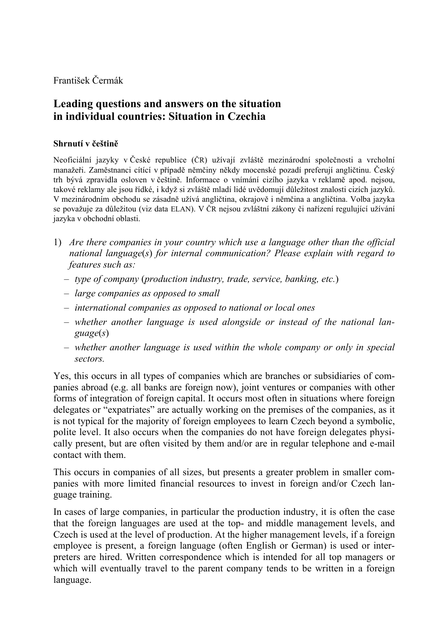František Čermák

## **Leading questions and answers on the situation in individual countries: Situation in Czechia**

## **Shrnutí v češtině**

Neoficiální jazyky v České republice (ČR) užívají zvláště mezinárodní společnosti a vrcholní manažeři. Zaměstnanci cítící v případě němčiny někdy mocenské pozadí preferují angličtinu. Český trh bývá zpravidla osloven v češtině. Informace o vnímání cizího jazyka v reklamě apod. nejsou, takové reklamy ale jsou řídké, i když si zvláště mladí lidé uvědomují důležitost znalosti cizích jazyků. V mezinárodním obchodu se zásadně užívá angličtina, okrajově i němčina a angličtina. Volba jazyka se považuje za důležitou (viz data ELAN). V ČR nejsou zvláštní zákony či nařízení regulující užívání jazyka v obchodní oblasti.

- 1) *Are there companies in your country which use a language other than the official national language*(*s*) *for internal communication? Please explain with regard to features such as:* 
	- *type of company* (*production industry, trade, service, banking, etc.*)
	- *large companies as opposed to small*
	- *international companies as opposed to national or local ones*
	- *whether another language is used alongside or instead of the national language*(*s*)
	- *whether another language is used within the whole company or only in special sectors.*

Yes, this occurs in all types of companies which are branches or subsidiaries of companies abroad (e.g. all banks are foreign now), joint ventures or companies with other forms of integration of foreign capital. It occurs most often in situations where foreign delegates or "expatriates" are actually working on the premises of the companies, as it is not typical for the majority of foreign employees to learn Czech beyond a symbolic, polite level. It also occurs when the companies do not have foreign delegates physically present, but are often visited by them and/or are in regular telephone and e-mail contact with them.

This occurs in companies of all sizes, but presents a greater problem in smaller companies with more limited financial resources to invest in foreign and/or Czech language training.

In cases of large companies, in particular the production industry, it is often the case that the foreign languages are used at the top- and middle management levels, and Czech is used at the level of production. At the higher management levels, if a foreign employee is present, a foreign language (often English or German) is used or interpreters are hired. Written correspondence which is intended for all top managers or which will eventually travel to the parent company tends to be written in a foreign language.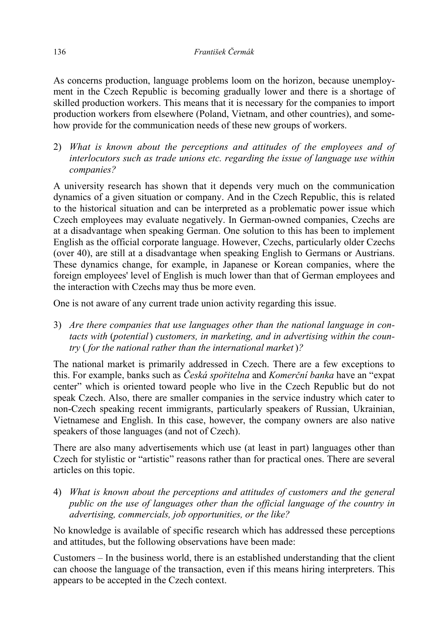As concerns production, language problems loom on the horizon, because unemployment in the Czech Republic is becoming gradually lower and there is a shortage of skilled production workers. This means that it is necessary for the companies to import production workers from elsewhere (Poland, Vietnam, and other countries), and somehow provide for the communication needs of these new groups of workers.

2) *What is known about the perceptions and attitudes of the employees and of interlocutors such as trade unions etc. regarding the issue of language use within companies?* 

A university research has shown that it depends very much on the communication dynamics of a given situation or company. And in the Czech Republic, this is related to the historical situation and can be interpreted as a problematic power issue which Czech employees may evaluate negatively. In German-owned companies, Czechs are at a disadvantage when speaking German. One solution to this has been to implement English as the official corporate language. However, Czechs, particularly older Czechs (over 40), are still at a disadvantage when speaking English to Germans or Austrians. These dynamics change, for example, in Japanese or Korean companies, where the foreign employees' level of English is much lower than that of German employees and the interaction with Czechs may thus be more even.

One is not aware of any current trade union activity regarding this issue.

3) *Are there companies that use languages other than the national language in contacts with* (*potential*) *customers, in marketing, and in advertising within the country* ( *for the national rather than the international market* )*?* 

The national market is primarily addressed in Czech. There are a few exceptions to this. For example, banks such as *Česká spořitelna* and *Komerční banka* have an "expat center" which is oriented toward people who live in the Czech Republic but do not speak Czech. Also, there are smaller companies in the service industry which cater to non-Czech speaking recent immigrants, particularly speakers of Russian, Ukrainian, Vietnamese and English. In this case, however, the company owners are also native speakers of those languages (and not of Czech).

There are also many advertisements which use (at least in part) languages other than Czech for stylistic or "artistic" reasons rather than for practical ones. There are several articles on this topic.

4) *What is known about the perceptions and attitudes of customers and the general public on the use of languages other than the official language of the country in advertising, commercials, job opportunities, or the like?* 

No knowledge is available of specific research which has addressed these perceptions and attitudes, but the following observations have been made:

Customers – In the business world, there is an established understanding that the client can choose the language of the transaction, even if this means hiring interpreters. This appears to be accepted in the Czech context.